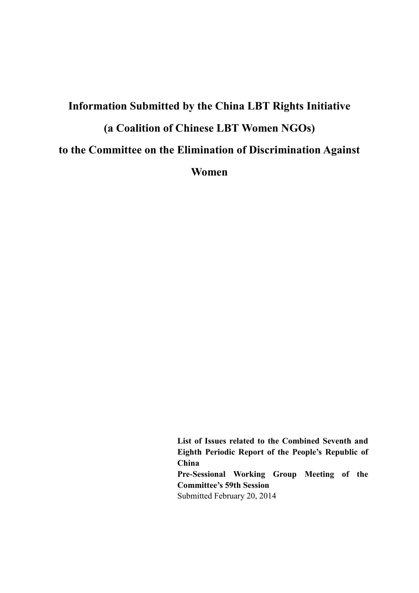# **Information Submitted by the China LBT Rights Initiative (a Coalition of Chinese LBT Women NGOs) to the Committee on the Elimination of Discrimination Against Women**

**List of Issues related to the Combined Seventh and Eighth Periodic Report of the People's Republic of China Pre-Sessional Working Group Meeting of the Committee's 59th Session**  Submitted February 20, 2014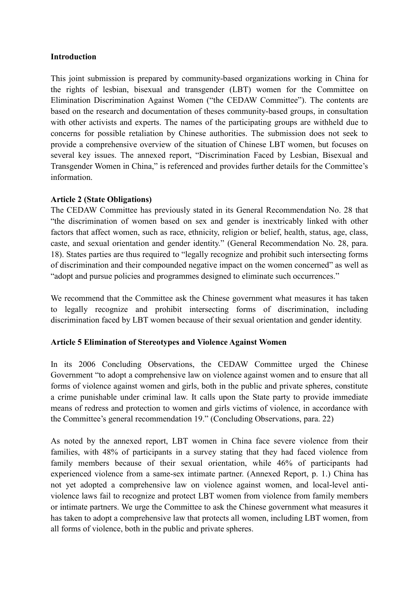#### **Introduction**

This joint submission is prepared by community-based organizations working in China for the rights of lesbian, bisexual and transgender (LBT) women for the Committee on Elimination Discrimination Against Women ("the CEDAW Committee"). The contents are based on the research and documentation of theses community-based groups, in consultation with other activists and experts. The names of the participating groups are withheld due to concerns for possible retaliation by Chinese authorities. The submission does not seek to provide a comprehensive overview of the situation of Chinese LBT women, but focuses on several key issues. The annexed report, "Discrimination Faced by Lesbian, Bisexual and Transgender Women in China," is referenced and provides further details for the Committee's information.

### **Article 2 (State Obligations)**

The CEDAW Committee has previously stated in its General Recommendation No. 28 that "the discrimination of women based on sex and gender is inextricably linked with other factors that affect women, such as race, ethnicity, religion or belief, health, status, age, class, caste, and sexual orientation and gender identity." (General Recommendation No. 28, para. 18). States parties are thus required to "legally recognize and prohibit such intersecting forms of discrimination and their compounded negative impact on the women concerned" as well as "adopt and pursue policies and programmes designed to eliminate such occurrences."

We recommend that the Committee ask the Chinese government what measures it has taken to legally recognize and prohibit intersecting forms of discrimination, including discrimination faced by LBT women because of their sexual orientation and gender identity.

### **Article 5 Elimination of Stereotypes and Violence Against Women**

In its 2006 Concluding Observations, the CEDAW Committee urged the Chinese Government "to adopt a comprehensive law on violence against women and to ensure that all forms of violence against women and girls, both in the public and private spheres, constitute a crime punishable under criminal law. It calls upon the State party to provide immediate means of redress and protection to women and girls victims of violence, in accordance with the Committee's general recommendation 19." (Concluding Observations, para. 22)

As noted by the annexed report, LBT women in China face severe violence from their families, with 48% of participants in a survey stating that they had faced violence from family members because of their sexual orientation, while 46% of participants had experienced violence from a same-sex intimate partner. (Annexed Report, p. 1.) China has not yet adopted a comprehensive law on violence against women, and local-level antiviolence laws fail to recognize and protect LBT women from violence from family members or intimate partners. We urge the Committee to ask the Chinese government what measures it has taken to adopt a comprehensive law that protects all women, including LBT women, from all forms of violence, both in the public and private spheres.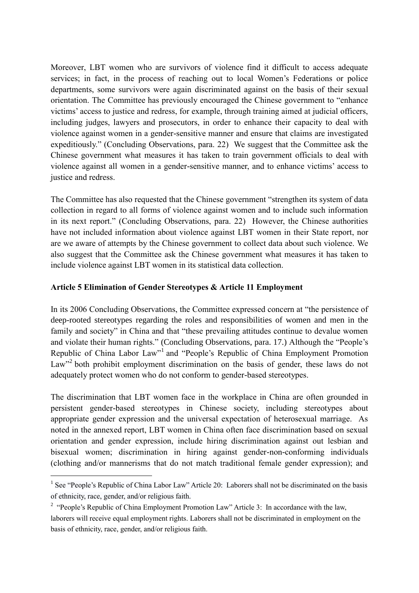Moreover, LBT women who are survivors of violence find it difficult to access adequate services; in fact, in the process of reaching out to local Women's Federations or police departments, some survivors were again discriminated against on the basis of their sexual orientation. The Committee has previously encouraged the Chinese government to "enhance victims' access to justice and redress, for example, through training aimed at judicial officers, including judges, lawyers and prosecutors, in order to enhance their capacity to deal with violence against women in a gender-sensitive manner and ensure that claims are investigated expeditiously." (Concluding Observations, para. 22) We suggest that the Committee ask the Chinese government what measures it has taken to train government officials to deal with violence against all women in a gender-sensitive manner, and to enhance victims' access to justice and redress.

The Committee has also requested that the Chinese government "strengthen its system of data collection in regard to all forms of violence against women and to include such information in its next report." (Concluding Observations, para. 22) However, the Chinese authorities have not included information about violence against LBT women in their State report, nor are we aware of attempts by the Chinese government to collect data about such violence. We also suggest that the Committee ask the Chinese government what measures it has taken to include violence against LBT women in its statistical data collection.

### **Article 5 Elimination of Gender Stereotypes & Article 11 Employment**

In its 2006 Concluding Observations, the Committee expressed concern at "the persistence of deep-rooted stereotypes regarding the roles and responsibilities of women and men in the family and society" in China and that "these prevailing attitudes continue to devalue women and violate their human rights." (Concluding Observations, para. 17.) Although the "People's Republic of China Labor Law"<sup>1</sup> and "People's Republic of China Employment Promotion Law<sup>32</sup> both prohibit employment discrimination on the basis of gender, these laws do not adequately protect women who do not conform to gender-based stereotypes.

The discrimination that LBT women face in the workplace in China are often grounded in persistent gender-based stereotypes in Chinese society, including stereotypes about appropriate gender expression and the universal expectation of heterosexual marriage. As noted in the annexed report, LBT women in China often face discrimination based on sexual orientation and gender expression, include hiring discrimination against out lesbian and bisexual women; discrimination in hiring against gender-non-conforming individuals (clothing and/or mannerisms that do not match traditional female gender expression); and

-

<sup>&</sup>lt;sup>1</sup> See "People's Republic of China Labor Law" Article 20: Laborers shall not be discriminated on the basis of ethnicity, race, gender, and/or religious faith.

<sup>&</sup>lt;sup>2</sup> "People's Republic of China Employment Promotion Law" Article 3: In accordance with the law, laborers will receive equal employment rights. Laborers shall not be discriminated in employment on the basis of ethnicity, race, gender, and/or religious faith.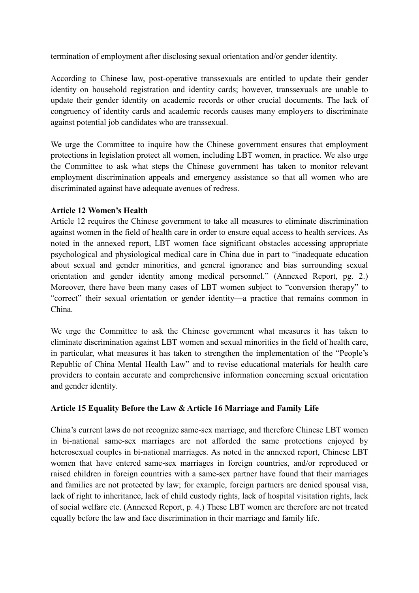termination of employment after disclosing sexual orientation and/or gender identity.

According to Chinese law, post-operative transsexuals are entitled to update their gender identity on household registration and identity cards; however, transsexuals are unable to update their gender identity on academic records or other crucial documents. The lack of congruency of identity cards and academic records causes many employers to discriminate against potential job candidates who are transsexual.

We urge the Committee to inquire how the Chinese government ensures that employment protections in legislation protect all women, including LBT women, in practice. We also urge the Committee to ask what steps the Chinese government has taken to monitor relevant employment discrimination appeals and emergency assistance so that all women who are discriminated against have adequate avenues of redress.

### **Article 12 Women's Health**

Article 12 requires the Chinese government to take all measures to eliminate discrimination against women in the field of health care in order to ensure equal access to health services. As noted in the annexed report, LBT women face significant obstacles accessing appropriate psychological and physiological medical care in China due in part to "inadequate education about sexual and gender minorities, and general ignorance and bias surrounding sexual orientation and gender identity among medical personnel." (Annexed Report, pg. 2.) Moreover, there have been many cases of LBT women subject to "conversion therapy" to "correct" their sexual orientation or gender identity—a practice that remains common in China.

We urge the Committee to ask the Chinese government what measures it has taken to eliminate discrimination against LBT women and sexual minorities in the field of health care, in particular, what measures it has taken to strengthen the implementation of the "People's Republic of China Mental Health Law" and to revise educational materials for health care providers to contain accurate and comprehensive information concerning sexual orientation and gender identity.

## **Article 15 Equality Before the Law & Article 16 Marriage and Family Life**

China's current laws do not recognize same-sex marriage, and therefore Chinese LBT women in bi-national same-sex marriages are not afforded the same protections enjoyed by heterosexual couples in bi-national marriages. As noted in the annexed report, Chinese LBT women that have entered same-sex marriages in foreign countries, and/or reproduced or raised children in foreign countries with a same-sex partner have found that their marriages and families are not protected by law; for example, foreign partners are denied spousal visa, lack of right to inheritance, lack of child custody rights, lack of hospital visitation rights, lack of social welfare etc. (Annexed Report, p. 4.) These LBT women are therefore are not treated equally before the law and face discrimination in their marriage and family life.